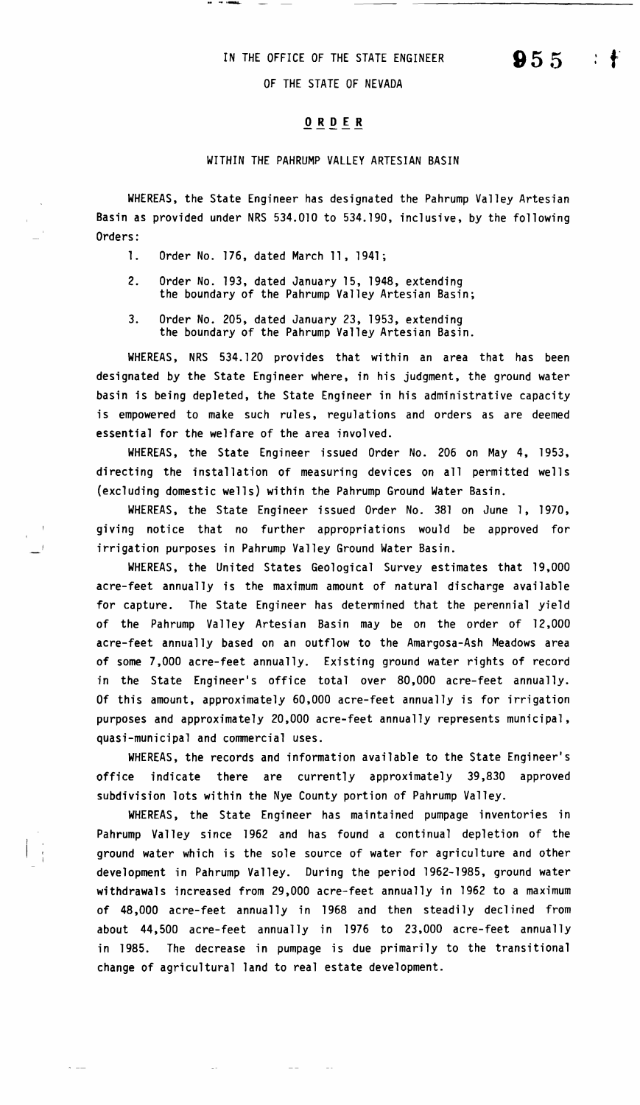## IN THE OFFICE OF THE STATE ENGINEER

OF THE STATE OF NEVADA

## **0 R D E R**

## WITHIN THE PAHRUMP VALLEY ARTESIAN BASIN

WHEREAS, the State Engineer has designated the Pahrump Valley Artesian Basin as provided under NRS 534.010 to 534.190, inclusive, by the following Orders:

l. Order No. 176, dated March 11, 1941;

- 2. Order No. 193, dated January 15, 1948, extending the boundary of the Pahrump Valley Artesian Basin;
- 3. Order No. 205, dated January 23, 1953, extending the boundary of the Pahrump Valley Artesian Basin.

WHEREAS, NRS 534. 120 provides that within an area that has been designated by the State Engineer where, in his judgment, the ground water basin is being depleted, the State Engineer in his administrative capacity is empowered to make such rules, regulations and orders as are deemed essential for the welfare of the area involved.

WHEREAS, the State Engineer issued Order No. 206 on May 4, 1953, directing the installation of measuring devices on all permitted wells (excluding domestic wells) within the Pahrump Ground Water Basin.

WHEREAS, the State Engineer issued Order No. 381 on June 1, 1970, giving notice that no further appropriations would be approved for irrigation purposes in Pahrump Valley Ground Water Basin.

WHEREAS, the United States Geological Survey estimates that 19,000 acre-feet annually is the maximum amount of natural discharge available for capture. The State Engineer has determined that the perennial yield of the Pahrump Valley Artesian Basin may be on the order of 12,000 acre-feet annually based on an outflow to the Amargosa-Ash Meadows area of some 7,000 acre-feet annually. Existing ground water rights of record in the State Engineer's office total over 80,000 acre-feet annually. Of this amount, approximately 60,000 acre-feet annually is for irrigation purposes and approximately 20,000 acre-feet annually represents municipal, quasi-municipal and commercial uses.

WHEREAS, the records and information available to the State Engineer's office indicate there are currently approximately 39,830 approved subdivision lots within the Nye County portion of Pahrump Valley.

WHEREAS, the State Engineer has maintained pumpage inventories in Pahrump Valley since 1962 and has found a continual depletion of the ground water which is the sole source of water for agriculture and other development in Pahrump Valley. During the period 1962-1985, ground water withdrawals increased from 29,000 acre-feet annually in 1962 to a maximum of 48,000 acre-feet annually in 1968 and then steadily declined from about 44,500 acre-feet annually in 1976 to 23,000 acre-feet annually in 1985. The decrease in pumpage is due primarily to the transitional change of agricultural land to real estate development.

**955**